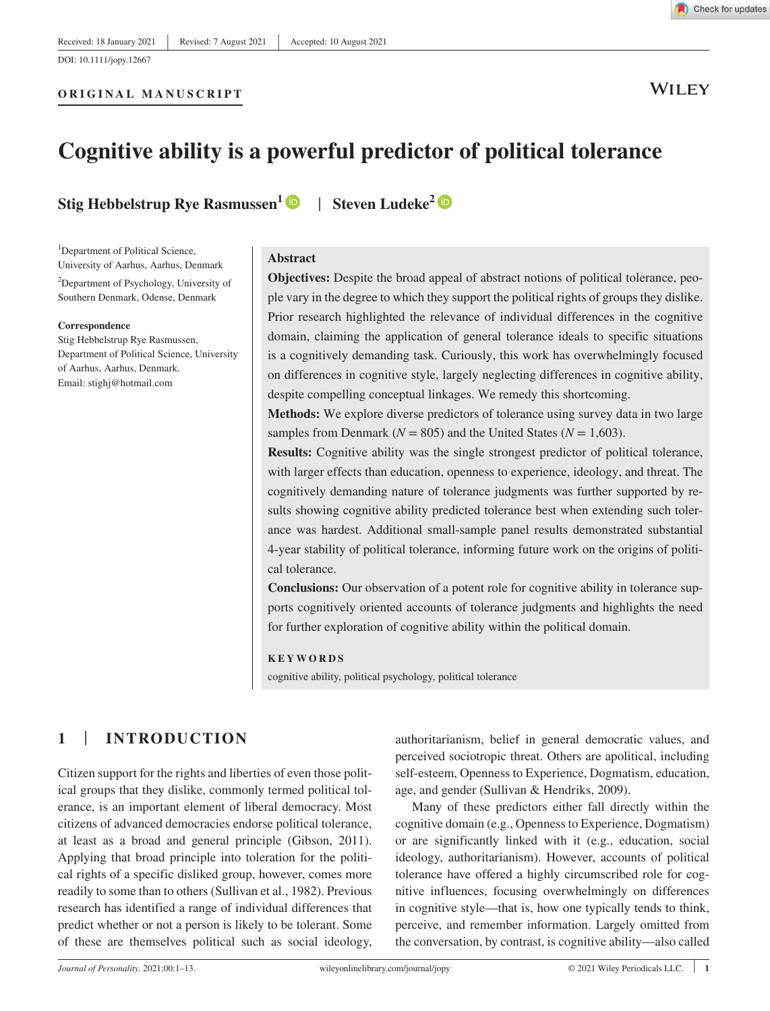**ORIGINAL MANUSCRIPT**

**WILEY** 

## **Cognitive ability is a powerful predictor of political tolerance**

**Stig Hebbelstrup Rye Rasmussen<sup>1</sup>** | **Steven Ludeke<sup>2</sup>**

<sup>1</sup>Department of Political Science, University of Aarhus, Aarhus, Denmark

<sup>2</sup>Department of Psychology, University of Southern Denmark, Odense, Denmark

#### **Correspondence**

Stig Hebbelstrup Rye Rasmussen, Department of Political Science, University of Aarhus, Aarhus, Denmark. Email: stighj@hotmail.com

#### **Abstract**

**Objectives:** Despite the broad appeal of abstract notions of political tolerance, people vary in the degree to which they support the political rights of groups they dislike. Prior research highlighted the relevance of individual differences in the cognitive domain, claiming the application of general tolerance ideals to specific situations is a cognitively demanding task. Curiously, this work has overwhelmingly focused on differences in cognitive style, largely neglecting differences in cognitive ability, despite compelling conceptual linkages. We remedy this shortcoming.

**Methods:** We explore diverse predictors of tolerance using survey data in two large samples from Denmark ( $N = 805$ ) and the United States ( $N = 1,603$ ).

**Results:** Cognitive ability was the single strongest predictor of political tolerance, with larger effects than education, openness to experience, ideology, and threat. The cognitively demanding nature of tolerance judgments was further supported by results showing cognitive ability predicted tolerance best when extending such tolerance was hardest. Additional small-sample panel results demonstrated substantial 4- year stability of political tolerance, informing future work on the origins of political tolerance.

**Conclusions:** Our observation of a potent role for cognitive ability in tolerance supports cognitively oriented accounts of tolerance judgments and highlights the need for further exploration of cognitive ability within the political domain.

#### **KEYWORDS**

cognitive ability, political psychology, political tolerance

## **1** | **INTRODUCTION**

Citizen support for the rights and liberties of even those political groups that they dislike, commonly termed political tolerance, is an important element of liberal democracy. Most citizens of advanced democracies endorse political tolerance, at least as a broad and general principle (Gibson, 2011). Applying that broad principle into toleration for the political rights of a specific disliked group, however, comes more readily to some than to others (Sullivan et al., 1982). Previous research has identified a range of individual differences that predict whether or not a person is likely to be tolerant. Some of these are themselves political such as social ideology,

authoritarianism, belief in general democratic values, and perceived sociotropic threat. Others are apolitical, including self-esteem, Openness to Experience, Dogmatism, education, age, and gender (Sullivan & Hendriks, 2009).

Many of these predictors either fall directly within the cognitive domain (e.g., Openness to Experience, Dogmatism) or are significantly linked with it (e.g., education, social ideology, authoritarianism). However, accounts of political tolerance have offered a highly circumscribed role for cognitive influences, focusing overwhelmingly on differences in cognitive style— that is, how one typically tends to think, perceive, and remember information. Largely omitted from the conversation, by contrast, is cognitive ability— also called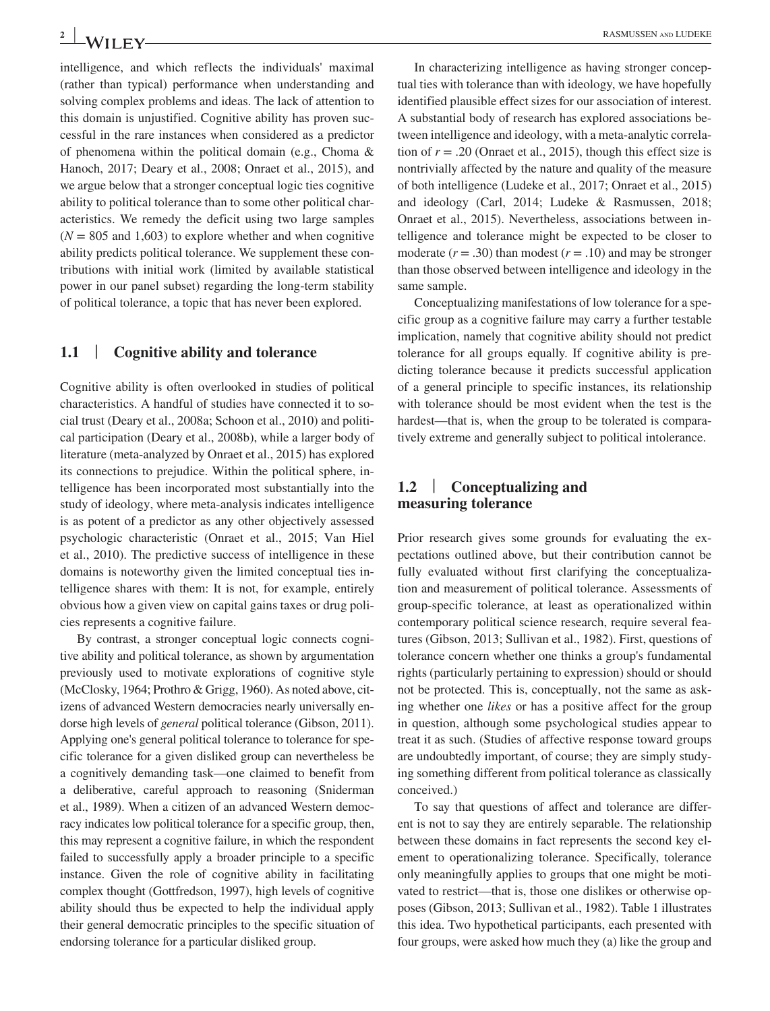intelligence, and which reflects the individuals' maximal (rather than typical) performance when understanding and solving complex problems and ideas. The lack of attention to this domain is unjustified. Cognitive ability has proven successful in the rare instances when considered as a predictor of phenomena within the political domain (e.g., Choma & Hanoch, 2017; Deary et al., 2008; Onraet et al., 2015), and we argue below that a stronger conceptual logic ties cognitive ability to political tolerance than to some other political characteristics. We remedy the deficit using two large samples  $(N = 805$  and 1,603) to explore whether and when cognitive ability predicts political tolerance. We supplement these contributions with initial work (limited by available statistical power in our panel subset) regarding the long- term stability of political tolerance, a topic that has never been explored.

## **1.1** | **Cognitive ability and tolerance**

Cognitive ability is often overlooked in studies of political characteristics. A handful of studies have connected it to social trust (Deary et al., 2008a; Schoon et al., 2010) and political participation (Deary et al., 2008b), while a larger body of literature (meta- analyzed by Onraet et al., 2015) has explored its connections to prejudice. Within the political sphere, intelligence has been incorporated most substantially into the study of ideology, where meta- analysis indicates intelligence is as potent of a predictor as any other objectively assessed psychologic characteristic (Onraet et al., 2015; Van Hiel et al., 2010). The predictive success of intelligence in these domains is noteworthy given the limited conceptual ties intelligence shares with them: It is not, for example, entirely obvious how a given view on capital gains taxes or drug policies represents a cognitive failure.

By contrast, a stronger conceptual logic connects cognitive ability and political tolerance, as shown by argumentation previously used to motivate explorations of cognitive style (McClosky, 1964; Prothro & Grigg, 1960). As noted above, citizens of advanced Western democracies nearly universally endorse high levels of *general* political tolerance (Gibson, 2011). Applying one's general political tolerance to tolerance for specific tolerance for a given disliked group can nevertheless be a cognitively demanding task— one claimed to benefit from a deliberative, careful approach to reasoning (Sniderman et al., 1989). When a citizen of an advanced Western democracy indicates low political tolerance for a specific group, then, this may represent a cognitive failure, in which the respondent failed to successfully apply a broader principle to a specific instance. Given the role of cognitive ability in facilitating complex thought (Gottfredson, 1997), high levels of cognitive ability should thus be expected to help the individual apply their general democratic principles to the specific situation of endorsing tolerance for a particular disliked group.

In characterizing intelligence as having stronger conceptual ties with tolerance than with ideology, we have hopefully identified plausible effect sizes for our association of interest. A substantial body of research has explored associations between intelligence and ideology, with a meta-analytic correlation of  $r = .20$  (Onraet et al., 2015), though this effect size is nontrivially affected by the nature and quality of the measure of both intelligence (Ludeke et al., 2017; Onraet et al., 2015) and ideology (Carl, 2014; Ludeke & Rasmussen, 2018; Onraet et al., 2015). Nevertheless, associations between intelligence and tolerance might be expected to be closer to moderate  $(r = .30)$  than modest  $(r = .10)$  and may be stronger than those observed between intelligence and ideology in the same sample.

Conceptualizing manifestations of low tolerance for a specific group as a cognitive failure may carry a further testable implication, namely that cognitive ability should not predict tolerance for all groups equally. If cognitive ability is predicting tolerance because it predicts successful application of a general principle to specific instances, its relationship with tolerance should be most evident when the test is the hardest—that is, when the group to be tolerated is comparatively extreme and generally subject to political intolerance.

## **1.2** | **Conceptualizing and measuring tolerance**

Prior research gives some grounds for evaluating the expectations outlined above, but their contribution cannot be fully evaluated without first clarifying the conceptualization and measurement of political tolerance. Assessments of group- specific tolerance, at least as operationalized within contemporary political science research, require several features (Gibson, 2013; Sullivan et al., 1982). First, questions of tolerance concern whether one thinks a group's fundamental rights (particularly pertaining to expression) should or should not be protected. This is, conceptually, not the same as asking whether one *likes* or has a positive affect for the group in question, although some psychological studies appear to treat it as such. (Studies of affective response toward groups are undoubtedly important, of course; they are simply studying something different from political tolerance as classically conceived.)

To say that questions of affect and tolerance are different is not to say they are entirely separable. The relationship between these domains in fact represents the second key element to operationalizing tolerance. Specifically, tolerance only meaningfully applies to groups that one might be motivated to restrict— that is, those one dislikes or otherwise opposes (Gibson, 2013; Sullivan et al., 1982). Table 1 illustrates this idea. Two hypothetical participants, each presented with four groups, were asked how much they (a) like the group and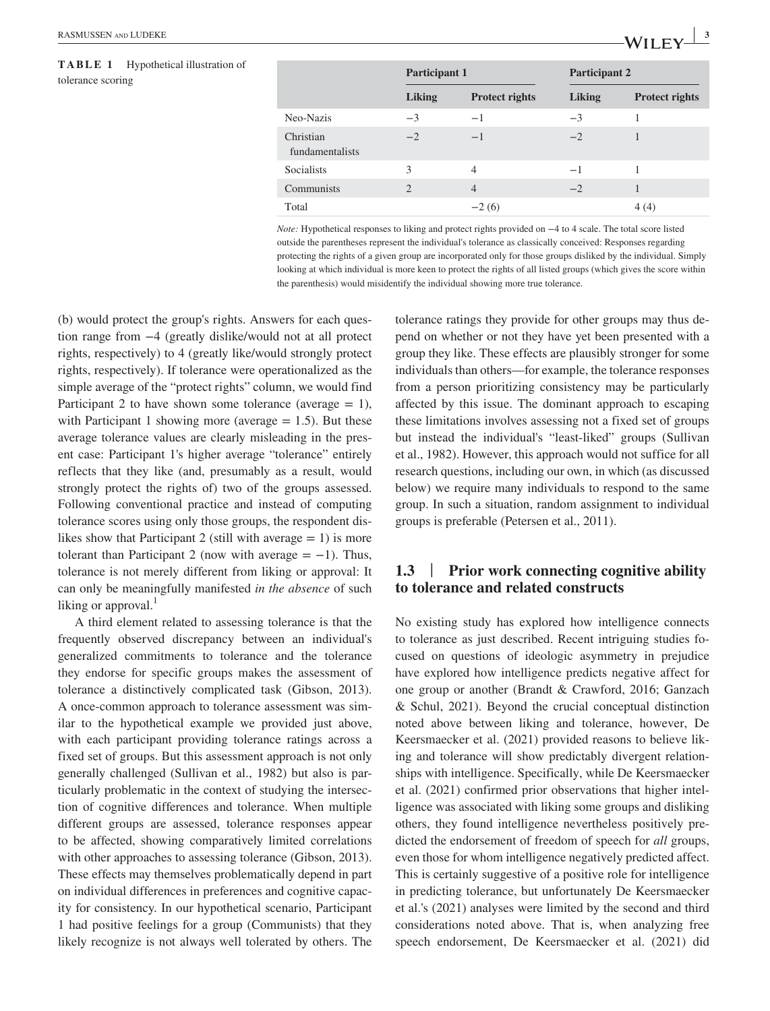**TABLE 1** Hypothetical illustration of tolerance scoring

|                              | <b>Participant 1</b> |                       | <b>Participant 2</b> |                       |  |
|------------------------------|----------------------|-----------------------|----------------------|-----------------------|--|
|                              | <b>Liking</b>        | <b>Protect rights</b> | <b>Liking</b>        | <b>Protect rights</b> |  |
| Neo-Nazis                    | $-3$                 | $-1$                  | $-3$                 |                       |  |
| Christian<br>fundamentalists | $-2$                 | $-1$                  | $-2$                 | 1                     |  |
| <b>Socialists</b>            | 3                    | 4                     | $-1$                 |                       |  |
| Communists                   | $\overline{2}$       | $\overline{4}$        | $-2$                 |                       |  |
| Total                        |                      | $-2(6)$               |                      | 4(4)                  |  |

*Note:* Hypothetical responses to liking and protect rights provided on −4 to 4 scale. The total score listed outside the parentheses represent the individual's tolerance as classically conceived: Responses regarding protecting the rights of a given group are incorporated only for those groups disliked by the individual. Simply looking at which individual is more keen to protect the rights of all listed groups (which gives the score within the parenthesis) would misidentify the individual showing more true tolerance.

(b) would protect the group's rights. Answers for each question range from −4 (greatly dislike/would not at all protect rights, respectively) to 4 (greatly like/would strongly protect rights, respectively). If tolerance were operationalized as the simple average of the "protect rights" column, we would find Participant 2 to have shown some tolerance (average  $= 1$ ), with Participant 1 showing more (average  $= 1.5$ ). But these average tolerance values are clearly misleading in the present case: Participant 1's higher average "tolerance" entirely reflects that they like (and, presumably as a result, would strongly protect the rights of) two of the groups assessed. Following conventional practice and instead of computing tolerance scores using only those groups, the respondent dislikes show that Participant 2 (still with average  $= 1$ ) is more tolerant than Participant 2 (now with average  $= -1$ ). Thus, tolerance is not merely different from liking or approval: It can only be meaningfully manifested *in the absence* of such liking or approval. $<sup>1</sup>$ </sup>

A third element related to assessing tolerance is that the frequently observed discrepancy between an individual's generalized commitments to tolerance and the tolerance they endorse for specific groups makes the assessment of tolerance a distinctively complicated task (Gibson, 2013). A once-common approach to tolerance assessment was similar to the hypothetical example we provided just above, with each participant providing tolerance ratings across a fixed set of groups. But this assessment approach is not only generally challenged (Sullivan et al., 1982) but also is particularly problematic in the context of studying the intersection of cognitive differences and tolerance. When multiple different groups are assessed, tolerance responses appear to be affected, showing comparatively limited correlations with other approaches to assessing tolerance (Gibson, 2013). These effects may themselves problematically depend in part on individual differences in preferences and cognitive capacity for consistency. In our hypothetical scenario, Participant 1 had positive feelings for a group (Communists) that they likely recognize is not always well tolerated by others. The

tolerance ratings they provide for other groups may thus depend on whether or not they have yet been presented with a group they like. These effects are plausibly stronger for some individuals than others— for example, the tolerance responses from a person prioritizing consistency may be particularly affected by this issue. The dominant approach to escaping these limitations involves assessing not a fixed set of groups but instead the individual's "least-liked" groups (Sullivan et al., 1982). However, this approach would not suffice for all research questions, including our own, in which (as discussed below) we require many individuals to respond to the same group. In such a situation, random assignment to individual groups is preferable (Petersen et al., 2011).

## **1.3** | **Prior work connecting cognitive ability to tolerance and related constructs**

No existing study has explored how intelligence connects to tolerance as just described. Recent intriguing studies focused on questions of ideologic asymmetry in prejudice have explored how intelligence predicts negative affect for one group or another (Brandt & Crawford, 2016; Ganzach & Schul, 2021). Beyond the crucial conceptual distinction noted above between liking and tolerance, however, De Keersmaecker et al. (2021) provided reasons to believe liking and tolerance will show predictably divergent relationships with intelligence. Specifically, while De Keersmaecker et al. (2021) confirmed prior observations that higher intelligence was associated with liking some groups and disliking others, they found intelligence nevertheless positively predicted the endorsement of freedom of speech for *all* groups, even those for whom intelligence negatively predicted affect. This is certainly suggestive of a positive role for intelligence in predicting tolerance, but unfortunately De Keersmaecker et al.'s (2021) analyses were limited by the second and third considerations noted above. That is, when analyzing free speech endorsement, De Keersmaecker et al. (2021) did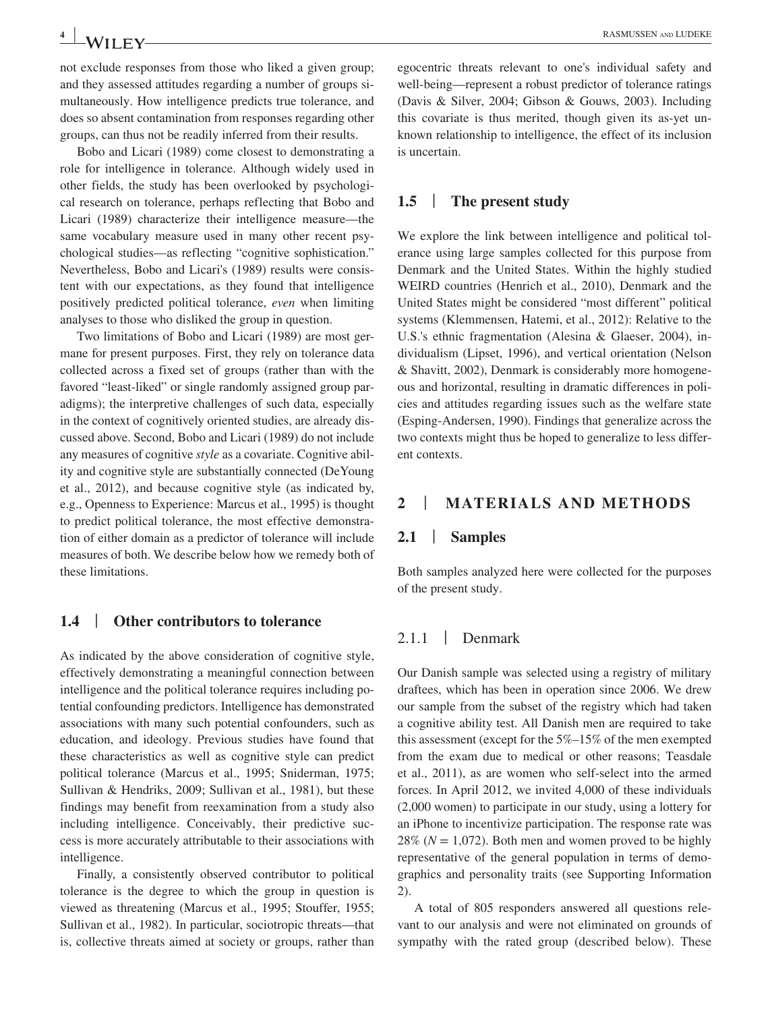not exclude responses from those who liked a given group; and they assessed attitudes regarding a number of groups simultaneously. How intelligence predicts true tolerance, and does so absent contamination from responses regarding other groups, can thus not be readily inferred from their results.

Bobo and Licari (1989) come closest to demonstrating a role for intelligence in tolerance. Although widely used in other fields, the study has been overlooked by psychological research on tolerance, perhaps reflecting that Bobo and Licari (1989) characterize their intelligence measure— the same vocabulary measure used in many other recent psychological studies— as reflecting "cognitive sophistication." Nevertheless, Bobo and Licari's (1989) results were consistent with our expectations, as they found that intelligence positively predicted political tolerance, *even* when limiting analyses to those who disliked the group in question.

Two limitations of Bobo and Licari (1989) are most germane for present purposes. First, they rely on tolerance data collected across a fixed set of groups (rather than with the favored "least-liked" or single randomly assigned group paradigms); the interpretive challenges of such data, especially in the context of cognitively oriented studies, are already discussed above. Second, Bobo and Licari (1989) do not include any measures of cognitive *style* as a covariate. Cognitive ability and cognitive style are substantially connected (DeYoung et al., 2012), and because cognitive style (as indicated by, e.g., Openness to Experience: Marcus et al., 1995) is thought to predict political tolerance, the most effective demonstration of either domain as a predictor of tolerance will include measures of both. We describe below how we remedy both of these limitations.

## **1.4** | **Other contributors to tolerance**

As indicated by the above consideration of cognitive style, effectively demonstrating a meaningful connection between intelligence and the political tolerance requires including potential confounding predictors. Intelligence has demonstrated associations with many such potential confounders, such as education, and ideology. Previous studies have found that these characteristics as well as cognitive style can predict political tolerance (Marcus et al., 1995; Sniderman, 1975; Sullivan & Hendriks, 2009; Sullivan et al., 1981), but these findings may benefit from reexamination from a study also including intelligence. Conceivably, their predictive success is more accurately attributable to their associations with intelligence.

Finally, a consistently observed contributor to political tolerance is the degree to which the group in question is viewed as threatening (Marcus et al., 1995; Stouffer, 1955; Sullivan et al., 1982). In particular, sociotropic threats— that is, collective threats aimed at society or groups, rather than

## **1.5** | **The present study**

We explore the link between intelligence and political tolerance using large samples collected for this purpose from Denmark and the United States. Within the highly studied WEIRD countries (Henrich et al., 2010), Denmark and the United States might be considered "most different" political systems (Klemmensen, Hatemi, et al., 2012): Relative to the U.S.'s ethnic fragmentation (Alesina & Glaeser, 2004), individualism (Lipset, 1996), and vertical orientation (Nelson & Shavitt, 2002), Denmark is considerably more homogeneous and horizontal, resulting in dramatic differences in policies and attitudes regarding issues such as the welfare state (Esping- Andersen, 1990). Findings that generalize across the two contexts might thus be hoped to generalize to less different contexts.

## **2** | **MATERIALS AND METHODS**

#### **2.1** | **Samples**

Both samples analyzed here were collected for the purposes of the present study.

## 2.1.1 | Denmark

Our Danish sample was selected using a registry of military draftees, which has been in operation since 2006. We drew our sample from the subset of the registry which had taken a cognitive ability test. All Danish men are required to take this assessment (except for the  $5\%$ – $15\%$  of the men exempted from the exam due to medical or other reasons; Teasdale et al., 2011), as are women who self-select into the armed forces. In April 2012, we invited 4,000 of these individuals (2,000 women) to participate in our study, using a lottery for an iPhone to incentivize participation. The response rate was 28% ( $N = 1,072$ ). Both men and women proved to be highly representative of the general population in terms of demographics and personality traits (see Supporting Information 2).

A total of 805 responders answered all questions relevant to our analysis and were not eliminated on grounds of sympathy with the rated group (described below). These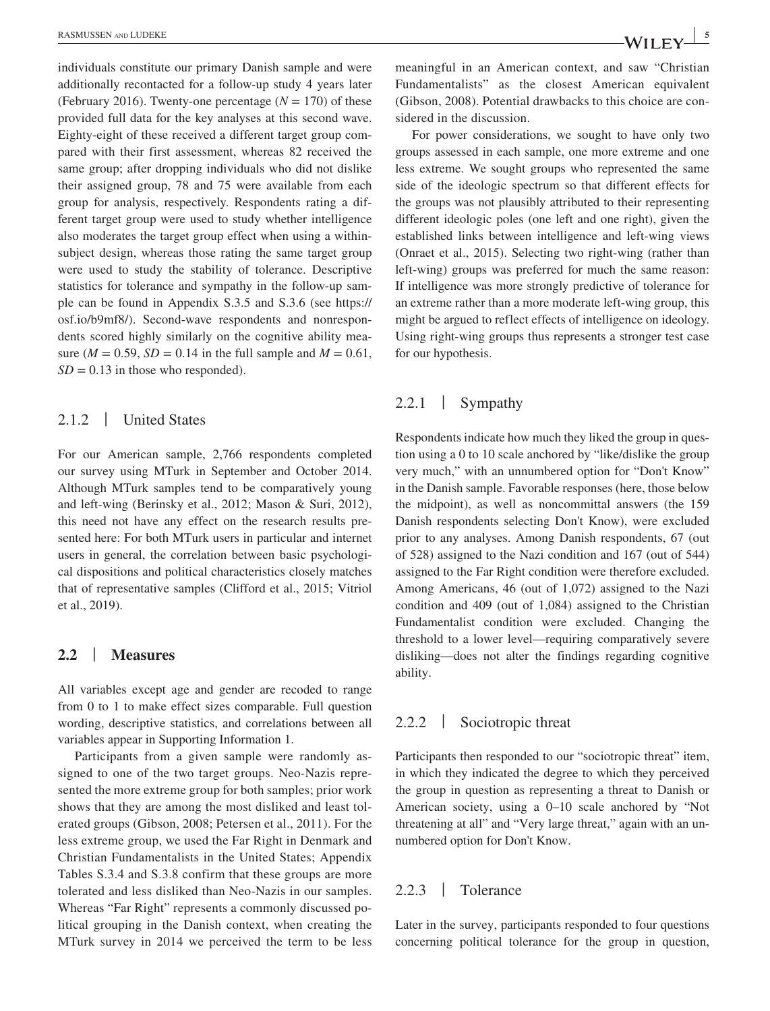individuals constitute our primary Danish sample and were additionally recontacted for a follow-up study 4 years later (February 2016). Twenty-one percentage  $(N = 170)$  of these provided full data for the key analyses at this second wave. Eighty-eight of these received a different target group compared with their first assessment, whereas 82 received the same group; after dropping individuals who did not dislike their assigned group, 78 and 75 were available from each group for analysis, respectively. Respondents rating a different target group were used to study whether intelligence also moderates the target group effect when using a withinsubject design, whereas those rating the same target group were used to study the stability of tolerance. Descriptive statistics for tolerance and sympathy in the follow-up sample can be found in Appendix S.3.5 and S.3.6 (see https:// osf.io/b9mf8/). Second- wave respondents and nonrespondents scored highly similarly on the cognitive ability measure ( $M = 0.59$ ,  $SD = 0.14$  in the full sample and  $M = 0.61$ ,  $SD = 0.13$  in those who responded).

## 2.1.2 | United States

For our American sample, 2,766 respondents completed our survey using MTurk in September and October 2014. Although MTurk samples tend to be comparatively young and left- wing (Berinsky et al., 2012; Mason & Suri, 2012), this need not have any effect on the research results presented here: For both MTurk users in particular and internet users in general, the correlation between basic psychological dispositions and political characteristics closely matches that of representative samples (Clifford et al., 2015; Vitriol et al., 2019).

## **2.2** | **Measures**

All variables except age and gender are recoded to range from 0 to 1 to make effect sizes comparable. Full question wording, descriptive statistics, and correlations between all variables appear in Supporting Information 1.

Participants from a given sample were randomly assigned to one of the two target groups. Neo-Nazis represented the more extreme group for both samples; prior work shows that they are among the most disliked and least tolerated groups (Gibson, 2008; Petersen et al., 2011). For the less extreme group, we used the Far Right in Denmark and Christian Fundamentalists in the United States; Appendix Tables S.3.4 and S.3.8 confirm that these groups are more tolerated and less disliked than Neo-Nazis in our samples. Whereas "Far Right" represents a commonly discussed political grouping in the Danish context, when creating the MTurk survey in 2014 we perceived the term to be less meaningful in an American context, and saw "Christian Fundamentalists" as the closest American equivalent (Gibson, 2008). Potential drawbacks to this choice are considered in the discussion.

For power considerations, we sought to have only two groups assessed in each sample, one more extreme and one less extreme. We sought groups who represented the same side of the ideologic spectrum so that different effects for the groups was not plausibly attributed to their representing different ideologic poles (one left and one right), given the established links between intelligence and left-wing views (Onraet et al., 2015). Selecting two right-wing (rather than left- wing) groups was preferred for much the same reason: If intelligence was more strongly predictive of tolerance for an extreme rather than a more moderate left-wing group, this might be argued to reflect effects of intelligence on ideology. Using right-wing groups thus represents a stronger test case for our hypothesis.

## 2.2.1 | Sympathy

Respondents indicate how much they liked the group in question using a 0 to 10 scale anchored by "like/dislike the group very much," with an unnumbered option for "Don't Know" in the Danish sample. Favorable responses (here, those below the midpoint), as well as noncommittal answers (the 159 Danish respondents selecting Don't Know), were excluded prior to any analyses. Among Danish respondents, 67 (out of 528) assigned to the Nazi condition and 167 (out of 544) assigned to the Far Right condition were therefore excluded. Among Americans, 46 (out of 1,072) assigned to the Nazi condition and 409 (out of 1,084) assigned to the Christian Fundamentalist condition were excluded. Changing the threshold to a lower level— requiring comparatively severe disliking— does not alter the findings regarding cognitive ability.

## 2.2.2 | Sociotropic threat

Participants then responded to our "sociotropic threat" item, in which they indicated the degree to which they perceived the group in question as representing a threat to Danish or American society, using a  $0-10$  scale anchored by "Not threatening at all" and "Very large threat," again with an unnumbered option for Don't Know.

#### 2.2.3 | Tolerance

Later in the survey, participants responded to four questions concerning political tolerance for the group in question,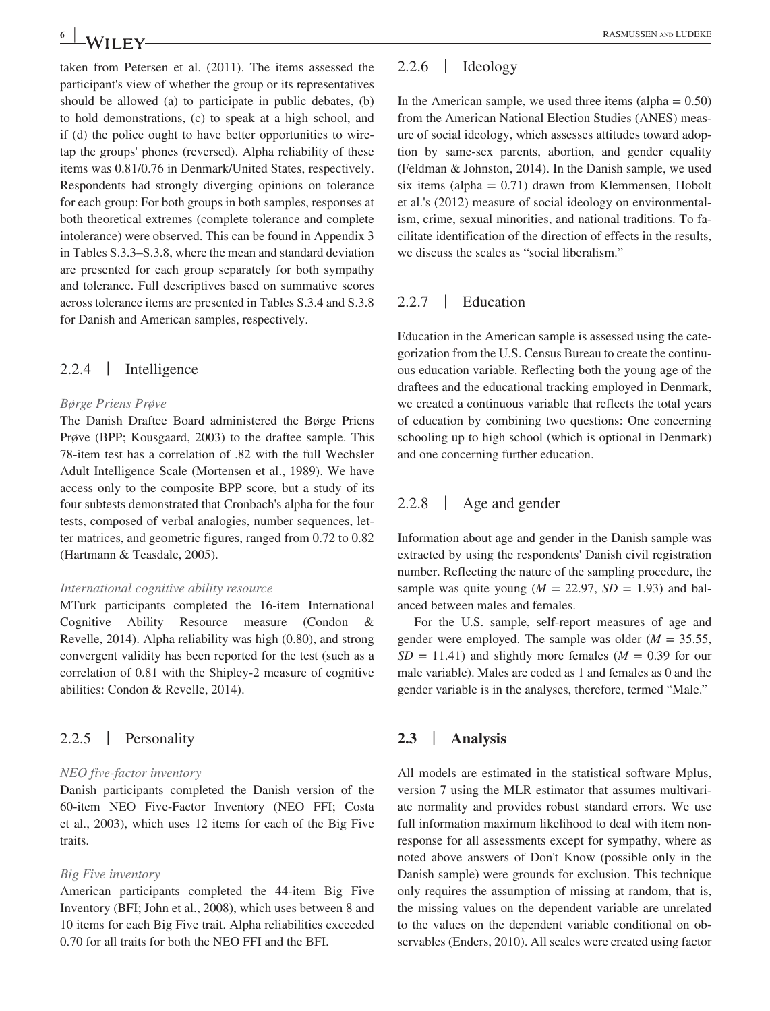taken from Petersen et al. (2011). The items assessed the participant's view of whether the group or its representatives should be allowed (a) to participate in public debates, (b) to hold demonstrations, (c) to speak at a high school, and if (d) the police ought to have better opportunities to wiretap the groups' phones (reversed). Alpha reliability of these items was 0.81/0.76 in Denmark/United States, respectively. Respondents had strongly diverging opinions on tolerance for each group: For both groups in both samples, responses at both theoretical extremes (complete tolerance and complete intolerance) were observed. This can be found in Appendix 3 in Tables S.3.3– S.3.8, where the mean and standard deviation are presented for each group separately for both sympathy and tolerance. Full descriptives based on summative scores across tolerance items are presented in Tables S.3.4 and S.3.8 for Danish and American samples, respectively.

## 2.2.4 | Intelligence

#### *Børge Priens Prøve*

The Danish Draftee Board administered the Børge Priens Prøve (BPP; Kousgaard, 2003) to the draftee sample. This 78- item test has a correlation of .82 with the full Wechsler Adult Intelligence Scale (Mortensen et al., 1989). We have access only to the composite BPP score, but a study of its four subtests demonstrated that Cronbach's alpha for the four tests, composed of verbal analogies, number sequences, letter matrices, and geometric figures, ranged from 0.72 to 0.82 (Hartmann & Teasdale, 2005).

#### *International cognitive ability resource*

MTurk participants completed the 16-item International Cognitive Ability Resource measure (Condon & Revelle, 2014). Alpha reliability was high (0.80), and strong convergent validity has been reported for the test (such as a correlation of 0.81 with the Shipley-2 measure of cognitive abilities: Condon & Revelle, 2014).

## 2.2.5 | Personality

#### *NEO five- factor inventory*

Danish participants completed the Danish version of the 60- item NEO Five- Factor Inventory (NEO FFI; Costa et al., 2003), which uses 12 items for each of the Big Five traits.

#### *Big Five inventory*

American participants completed the 44- item Big Five Inventory (BFI; John et al., 2008), which uses between 8 and 10 items for each Big Five trait. Alpha reliabilities exceeded 0.70 for all traits for both the NEO FFI and the BFI.

## 2.2.6 | Ideology

In the American sample, we used three items (alpha  $= 0.50$ ) from the American National Election Studies (ANES) measure of social ideology, which assesses attitudes toward adoption by same- sex parents, abortion, and gender equality (Feldman & Johnston, 2014). In the Danish sample, we used six items (alpha  $= 0.71$ ) drawn from Klemmensen, Hobolt et al.'s (2012) measure of social ideology on environmentalism, crime, sexual minorities, and national traditions. To facilitate identification of the direction of effects in the results, we discuss the scales as "social liberalism."

## 2.2.7 | Education

Education in the American sample is assessed using the categorization from the U.S. Census Bureau to create the continuous education variable. Reflecting both the young age of the draftees and the educational tracking employed in Denmark, we created a continuous variable that reflects the total years of education by combining two questions: One concerning schooling up to high school (which is optional in Denmark) and one concerning further education.

#### 2.2.8 | Age and gender

Information about age and gender in the Danish sample was extracted by using the respondents' Danish civil registration number. Reflecting the nature of the sampling procedure, the sample was quite young  $(M = 22.97, SD = 1.93)$  and balanced between males and females.

For the U.S. sample, self-report measures of age and gender were employed. The sample was older  $(M = 35.55,$  $SD = 11.41$ ) and slightly more females ( $M = 0.39$  for our male variable). Males are coded as 1 and females as 0 and the gender variable is in the analyses, therefore, termed "Male."

## **2.3** | **Analysis**

All models are estimated in the statistical software Mplus, version 7 using the MLR estimator that assumes multivariate normality and provides robust standard errors. We use full information maximum likelihood to deal with item nonresponse for all assessments except for sympathy, where as noted above answers of Don't Know (possible only in the Danish sample) were grounds for exclusion. This technique only requires the assumption of missing at random, that is, the missing values on the dependent variable are unrelated to the values on the dependent variable conditional on observables (Enders, 2010). All scales were created using factor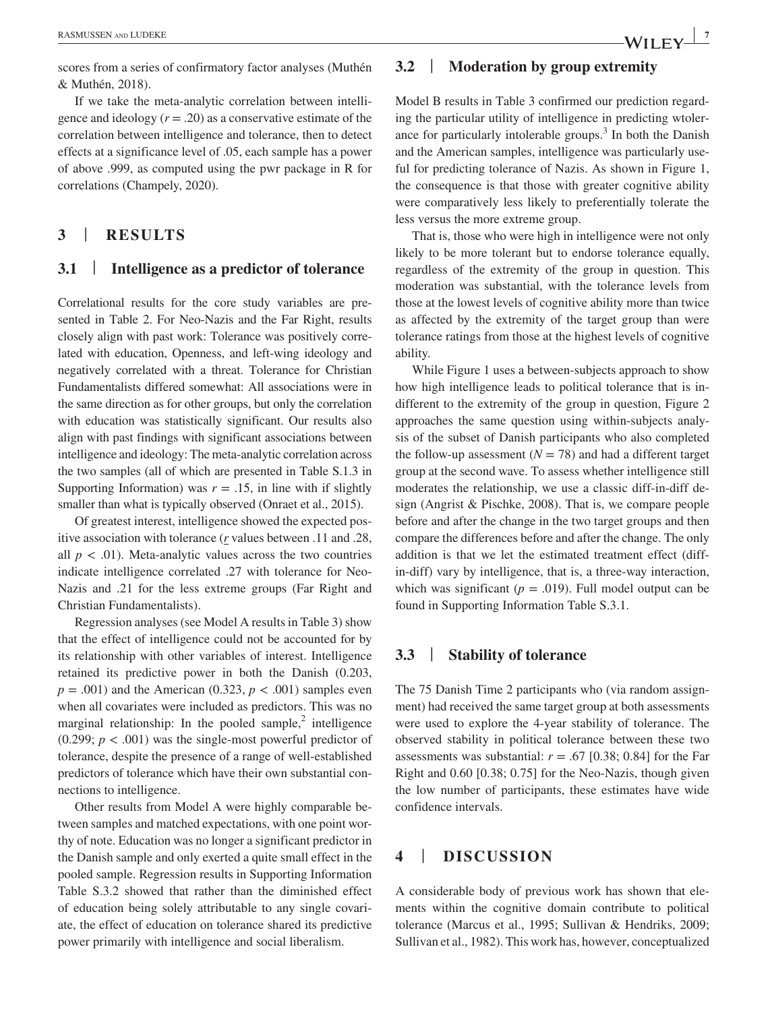scores from a series of confirmatory factor analyses (Muthén & Muthén, 2018).

If we take the meta-analytic correlation between intelligence and ideology  $(r = .20)$  as a conservative estimate of the correlation between intelligence and tolerance, then to detect effects at a significance level of .05, each sample has a power of above .999, as computed using the pwr package in R for correlations (Champely, 2020).

## **3** | **RESULTS**

## **3.1** | **Intelligence as a predictor of tolerance**

Correlational results for the core study variables are presented in Table 2. For Neo-Nazis and the Far Right, results closely align with past work: Tolerance was positively correlated with education, Openness, and left-wing ideology and negatively correlated with a threat. Tolerance for Christian Fundamentalists differed somewhat: All associations were in the same direction as for other groups, but only the correlation with education was statistically significant. Our results also align with past findings with significant associations between intelligence and ideology: The meta- analytic correlation across the two samples (all of which are presented in Table S.1.3 in Supporting Information) was  $r = .15$ , in line with if slightly smaller than what is typically observed (Onraet et al., 2015).

Of greatest interest, intelligence showed the expected positive association with tolerance (*r* values between .11 and .28, all  $p < .01$ ). Meta-analytic values across the two countries indicate intelligence correlated .27 with tolerance for Neo-Nazis and .21 for the less extreme groups (Far Right and Christian Fundamentalists).

Regression analyses (see Model A results in Table 3) show that the effect of intelligence could not be accounted for by its relationship with other variables of interest. Intelligence retained its predictive power in both the Danish (0.203,  $p = .001$ ) and the American (0.323,  $p < .001$ ) samples even when all covariates were included as predictors. This was no marginal relationship: In the pooled sample, $2$  intelligence (0.299;  $p < .001$ ) was the single-most powerful predictor of tolerance, despite the presence of a range of well-established predictors of tolerance which have their own substantial connections to intelligence.

Other results from Model A were highly comparable between samples and matched expectations, with one point worthy of note. Education was no longer a significant predictor in the Danish sample and only exerted a quite small effect in the pooled sample. Regression results in Supporting Information Table S.3.2 showed that rather than the diminished effect of education being solely attributable to any single covariate, the effect of education on tolerance shared its predictive power primarily with intelligence and social liberalism.

## **3.2** | **Moderation by group extremity**

Model B results in Table 3 confirmed our prediction regarding the particular utility of intelligence in predicting wtolerance for particularly intolerable groups.<sup>3</sup> In both the Danish and the American samples, intelligence was particularly useful for predicting tolerance of Nazis. As shown in Figure 1, the consequence is that those with greater cognitive ability were comparatively less likely to preferentially tolerate the less versus the more extreme group.

That is, those who were high in intelligence were not only likely to be more tolerant but to endorse tolerance equally, regardless of the extremity of the group in question. This moderation was substantial, with the tolerance levels from those at the lowest levels of cognitive ability more than twice as affected by the extremity of the target group than were tolerance ratings from those at the highest levels of cognitive ability.

While Figure 1 uses a between-subjects approach to show how high intelligence leads to political tolerance that is indifferent to the extremity of the group in question, Figure 2 approaches the same question using within-subjects analysis of the subset of Danish participants who also completed the follow-up assessment  $(N = 78)$  and had a different target group at the second wave. To assess whether intelligence still moderates the relationship, we use a classic diff-in-diff design (Angrist & Pischke, 2008). That is, we compare people before and after the change in the two target groups and then compare the differences before and after the change. The only addition is that we let the estimated treatment effect (diffin- diff) vary by intelligence, that is, a three- way interaction, which was significant ( $p = .019$ ). Full model output can be found in Supporting Information Table S.3.1.

## **3.3** | **Stability of tolerance**

The 75 Danish Time 2 participants who (via random assignment) had received the same target group at both assessments were used to explore the 4- year stability of tolerance. The observed stability in political tolerance between these two assessments was substantial:  $r = .67$  [0.38; 0.84] for the Far Right and 0.60 [0.38; 0.75] for the Neo- Nazis, though given the low number of participants, these estimates have wide confidence intervals.

## **4** | **DISCUSSION**

A considerable body of previous work has shown that elements within the cognitive domain contribute to political tolerance (Marcus et al., 1995; Sullivan & Hendriks, 2009; Sullivan et al., 1982). This work has, however, conceptualized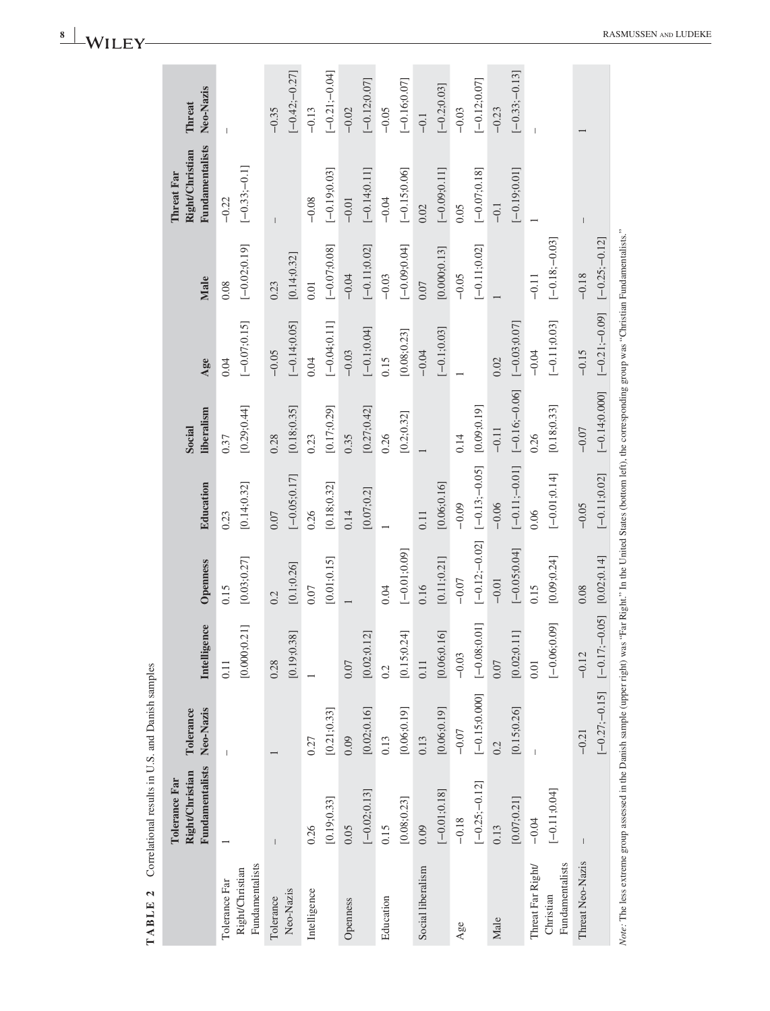|                                                     | <b>TABLE 2</b> Correlational results in U.S. and Danish samples                                                                                                                        |                             |                                 |                             |                             |                             |                             |                            |                                                                |                             |
|-----------------------------------------------------|----------------------------------------------------------------------------------------------------------------------------------------------------------------------------------------|-----------------------------|---------------------------------|-----------------------------|-----------------------------|-----------------------------|-----------------------------|----------------------------|----------------------------------------------------------------|-----------------------------|
|                                                     | Fundamentalists<br><b>Right/Christian</b><br>Tolerance Far                                                                                                                             | Neo-Nazis<br>Tolerance      | Intelligence                    | Openness                    | Education                   | liberalism<br>Social        | $\mathbf{Age}$              | Male                       | <b>Fundamentalists</b><br>Right/Christian<br><b>Threat Far</b> | Neo-Nazis<br>Threat         |
| Fundamentalists<br>Right/Christian<br>Tolerance Far |                                                                                                                                                                                        | $\overline{\phantom{a}}$    | [0.000;0.21]<br>0.11            | [0.03; 0.27]<br>0.15        | [0.14;0.32]<br>0.23         | [0.29; 0.44]<br>0.37        | $[-0.07;0.15]$<br>0.04      | $[-0.02;0.19]$<br>0.08     | $[-0.33; -0.1]$<br>$-0.22$                                     | $\overline{1}$              |
| Neo-Nazis<br>Tolerance                              |                                                                                                                                                                                        |                             | [0.19; 0.38]<br>0.28            | [0.1; 0.26]<br>0.2          | $[-0.05; 0.17]$<br>$0.07$   | [0.18; 0.35]<br>0.28        | $[-0.14;0.05]$<br>$-0.05$   | [0.14;0.32]<br>0.23        |                                                                | $[-0.42,-0.27]$<br>$-0.35$  |
| Intelligence                                        | [0.19; 0.33]<br>0.26                                                                                                                                                                   | [0.21; 0.33]<br>0.27        |                                 | [0.01;0.15]<br>0.07         | [0.18; 0.32]<br>0.26        | [0.17;0.29]<br>0.23         | $[-0.04; 0.11]$<br>0.04     | $[-0.07; 0.08]$<br>$0.01$  | $[-0.19; 0.03]$<br>$-0.08$                                     | $[-0.21; -0.04]$<br>$-0.13$ |
| Openness                                            | $[-0.02;0.13]$<br>0.05                                                                                                                                                                 | [0.02; 0.16]<br>0.09        | [0.02;0.12]<br>$0.07$           |                             | [0.07; 0.2]<br>0.14         | [0.27; 0.42]<br>0.35        | $[-0.1; 0.04]$<br>$-0.03$   | $[-0.11;0.02]$<br>$-0.04$  | $[-0.14;0.11]$<br>$-0.01$                                      | $[-0.12; 0.07]$<br>$-0.02$  |
| Education                                           | [0.08; 0.23]<br>0.15                                                                                                                                                                   | [0.06; 0.19]<br>0.13        | [0.15; 0.24]<br>0.2             | $[-0.01, 0.09]$<br>0.04     |                             | [0.2; 0.32]<br>0.26         | [0.08; 0.23]<br>0.15        | $[-0.09; 0.04]$<br>$-0.03$ | $[-0.15;0.06]$<br>$-0.04$                                      | $[-0.16; 0.07]$<br>$-0.05$  |
| Social liberalism                                   | $[-0.01; 0.18]$<br>0.09                                                                                                                                                                | [0.06; 0.19]<br>0.13        | [0.06; 0.16]<br>0.11            | [0.11; 0.21]<br>0.16        | [0.06; 0.16]<br>0.11        |                             | $[-0.1;0.03]$<br>$-0.04$    | [0.000; 0.13]<br>$0.07$    | $[-0.09; 0.11]$<br>0.02                                        | $[-0.2;0.03]$<br>$-0.1$     |
| $Age$ e                                             | $[-0.25; -0.12]$<br>$-0.18$                                                                                                                                                            | $[-0.15; 0.000]$<br>$-0.07$ | $[-0.08, 0.01]$<br>$-0.03$      | $[-0.12; -0.02]$<br>$-0.07$ | $[-0.13; -0.05]$<br>$-0.09$ | [0.09;0.19]<br>0.14         |                             | $[-0.11;0.02]$<br>$-0.05$  | $[-0.07;0.18]$<br>0.05                                         | $[-0.12; 0.07]$<br>$-0.03$  |
| Male                                                | [0.07;0.21]<br>0.13                                                                                                                                                                    | [0.15; 0.26]<br>0.2         | $\Box$<br>[0.02; 0.1]<br>$0.07$ | $[-0.05; 0.04]$<br>$-0.01$  | $[-0.11; -0.01]$<br>$-0.06$ | $[-0.16; -0.06]$<br>$-0.11$ | $[-0.03;0.07]$<br>0.02      |                            | $[-0.19; 0.01]$<br>$-0.1$                                      | $[-0.33; -0.13]$<br>$-0.23$ |
| Fundamentalists<br>Threat Far Right/<br>Christian   | $[-0.11; 0.04]$<br>$-0.04$                                                                                                                                                             |                             | $[-0.06;0.09]$<br>0.01          | [0.09; 0.24]<br>0.15        | $[-0.01; 0.14]$<br>0.06     | [0.18; 0.33]<br>0.26        | $[-0.11;0.03]$<br>$-0.04$   | $[-0.18:-0.03]$<br>$-0.11$ |                                                                |                             |
| Threat Neo-Nazis                                    |                                                                                                                                                                                        | $[-0.27; -0.15]$<br>$-0.21$ | 0.05<br>$[-0.17; -]$<br>$-0.12$ | [0.02; 0.14]<br>0.08        | $[-0.11;0.02]$<br>$-0.05$   | $[-0.14; 0.000]$<br>$-0.07$ | $[-0.21; -0.09]$<br>$-0.15$ | $[-0.25,-0.12]$<br>$-0.18$ |                                                                |                             |
|                                                     | Note: The less extreme group assessed in the Danish sample (upper right) was "Far Right." In the United States (bottom left), the corresponding group was "Christian Fundamentalists." |                             |                                 |                             |                             |                             |                             |                            |                                                                |                             |

**<sup>8</sup><sup>|</sup>**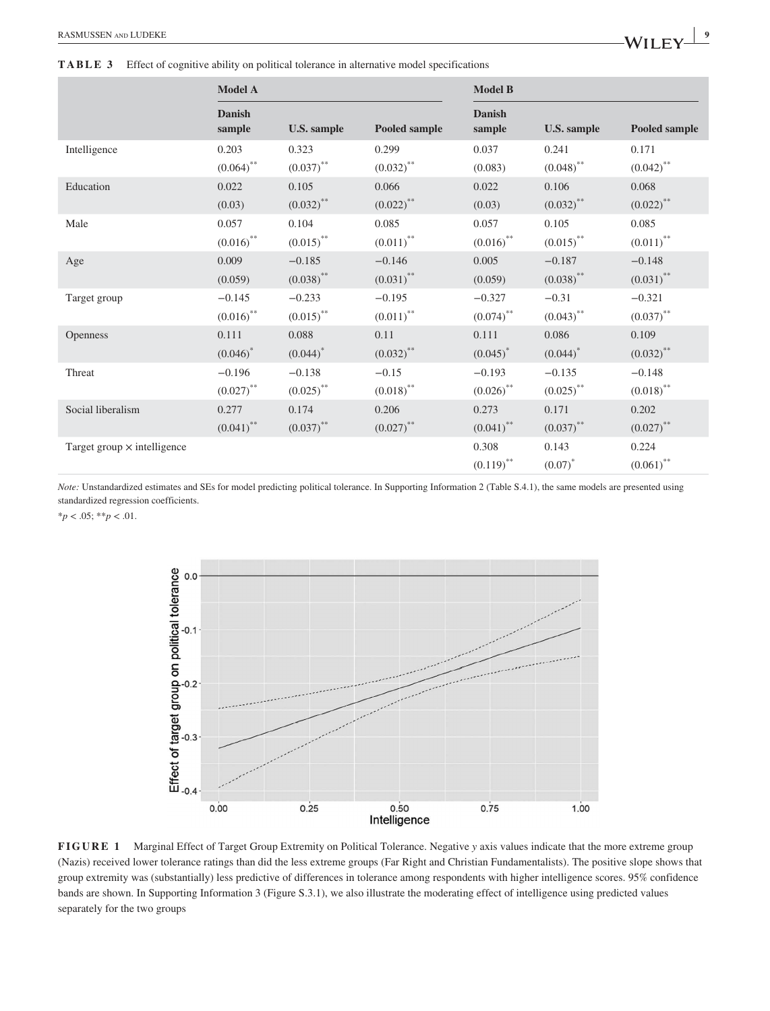**TABLE 3** Effect of cognitive ability on political tolerance in alternative model specifications

|                                    | <b>Model A</b>          |                         |                         | <b>Model B</b>          |                         |                         |
|------------------------------------|-------------------------|-------------------------|-------------------------|-------------------------|-------------------------|-------------------------|
|                                    | <b>Danish</b><br>sample | <b>U.S. sample</b>      | Pooled sample           | <b>Danish</b><br>sample | <b>U.S. sample</b>      | Pooled sample           |
| Intelligence                       | 0.203                   | 0.323                   | 0.299                   | 0.037                   | 0.241                   | 0.171                   |
|                                    | $(0.064)$ **            | $(0.037)$ **            | $(0.032)$ **            | (0.083)                 | $(0.048)$ **            | $(0.042)$ <sup>**</sup> |
| Education                          | 0.022                   | 0.105                   | 0.066                   | 0.022                   | 0.106                   | 0.068                   |
|                                    | (0.03)                  | $(0.032)$ **            | $(0.022)$ **            | (0.03)                  | $(0.032)$ **            | $(0.022)$ **            |
| Male                               | 0.057                   | 0.104                   | 0.085                   | 0.057                   | 0.105                   | 0.085                   |
|                                    | $(0.016)$ **            | $(0.015)$ <sup>**</sup> | $(0.011)$ **            | $(0.016)$ **            | $(0.015)$ <sup>**</sup> | $(0.011)$ <sup>**</sup> |
| Age                                | 0.009                   | $-0.185$                | $-0.146$                | 0.005                   | $-0.187$                | $-0.148$                |
|                                    | (0.059)                 | $(0.038)$ **            | $(0.031)$ **            | (0.059)                 | $(0.038)$ **            | $(0.031)$ **            |
| Target group                       | $-0.145$                | $-0.233$                | $-0.195$                | $-0.327$                | $-0.31$                 | $-0.321$                |
|                                    | $(0.016)$ **            | $(0.015)$ <sup>**</sup> | $(0.011)$ <sup>**</sup> | $(0.074)$ **            | $(0.043)$ **            | $(0.037)$ **            |
| <b>Openness</b>                    | 0.111                   | 0.088                   | 0.11                    | 0.111                   | 0.086                   | 0.109                   |
|                                    | $(0.046)^*$             | $(0.044)^*$             | $(0.032)$ **            | $(0.045)^*$             | $(0.044)^*$             | $(0.032)$ **            |
| Threat                             | $-0.196$                | $-0.138$                | $-0.15$                 | $-0.193$                | $-0.135$                | $-0.148$                |
|                                    | $(0.027)$ **            | $(0.025)$ **            | $(0.018)$ **            | $(0.026)$ **            | $(0.025)$ **            | $(0.018)$ **            |
| Social liberalism                  | 0.277                   | 0.174                   | 0.206                   | 0.273                   | 0.171                   | 0.202                   |
|                                    | $(0.041)$ **            | $(0.037)$ **            | $(0.027)$ **            | $(0.041)$ **            | $(0.037)$ **            | $(0.027)$ **            |
| Target group $\times$ intelligence |                         |                         |                         | 0.308                   | 0.143                   | 0.224                   |
|                                    |                         |                         |                         | $(0.119)$ <sup>**</sup> | $(0.07)^*$              | $(0.061)$ **            |

*Note:* Unstandardized estimates and SEs for model predicting political tolerance. In Supporting Information 2 (Table S.4.1), the same models are presented using standardized regression coefficients.

 $**p* < .05; ***p* < .01$ .



**FIGURE 1** Marginal Effect of Target Group Extremity on Political Tolerance. Negative *y* axis values indicate that the more extreme group (Nazis) received lower tolerance ratings than did the less extreme groups (Far Right and Christian Fundamentalists). The positive slope shows that group extremity was (substantially) less predictive of differences in tolerance among respondents with higher intelligence scores. 95% confidence bands are shown. In Supporting Information 3 (Figure S.3.1), we also illustrate the moderating effect of intelligence using predicted values separately for the two groups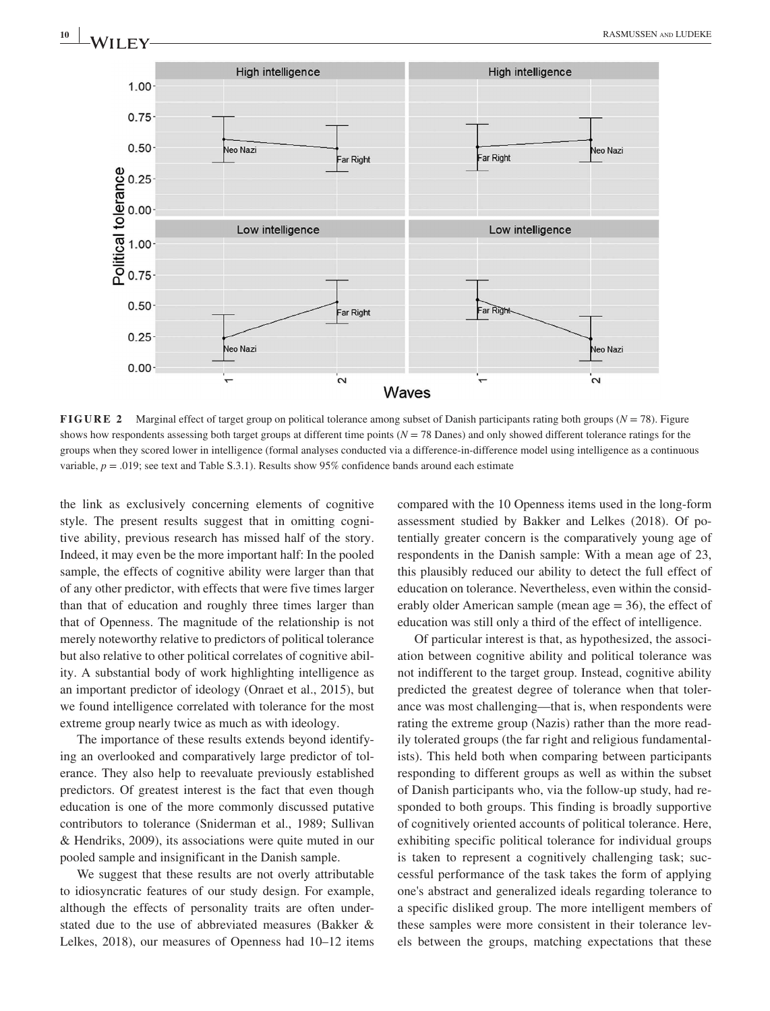

**FIGURE 2** Marginal effect of target group on political tolerance among subset of Danish participants rating both groups (*N* = 78). Figure shows how respondents assessing both target groups at different time points (*N* = 78 Danes) and only showed different tolerance ratings for the groups when they scored lower in intelligence (formal analyses conducted via a difference- in- difference model using intelligence as a continuous variable, *p* = .019; see text and Table S.3.1). Results show 95% confidence bands around each estimate

the link as exclusively concerning elements of cognitive style. The present results suggest that in omitting cognitive ability, previous research has missed half of the story. Indeed, it may even be the more important half: In the pooled sample, the effects of cognitive ability were larger than that of any other predictor, with effects that were five times larger than that of education and roughly three times larger than that of Openness. The magnitude of the relationship is not merely noteworthy relative to predictors of political tolerance but also relative to other political correlates of cognitive ability. A substantial body of work highlighting intelligence as an important predictor of ideology (Onraet et al., 2015), but we found intelligence correlated with tolerance for the most extreme group nearly twice as much as with ideology.

The importance of these results extends beyond identifying an overlooked and comparatively large predictor of tolerance. They also help to reevaluate previously established predictors. Of greatest interest is the fact that even though education is one of the more commonly discussed putative contributors to tolerance (Sniderman et al., 1989; Sullivan & Hendriks, 2009), its associations were quite muted in our pooled sample and insignificant in the Danish sample.

We suggest that these results are not overly attributable to idiosyncratic features of our study design. For example, although the effects of personality traits are often understated due to the use of abbreviated measures (Bakker & Lelkes, 2018), our measures of Openness had 10–12 items compared with the 10 Openness items used in the long-form assessment studied by Bakker and Lelkes (2018). Of potentially greater concern is the comparatively young age of respondents in the Danish sample: With a mean age of 23, this plausibly reduced our ability to detect the full effect of education on tolerance. Nevertheless, even within the considerably older American sample (mean age  $= 36$ ), the effect of education was still only a third of the effect of intelligence.

Of particular interest is that, as hypothesized, the association between cognitive ability and political tolerance was not indifferent to the target group. Instead, cognitive ability predicted the greatest degree of tolerance when that tolerance was most challenging— that is, when respondents were rating the extreme group (Nazis) rather than the more readily tolerated groups (the far right and religious fundamentalists). This held both when comparing between participants responding to different groups as well as within the subset of Danish participants who, via the follow- up study, had responded to both groups. This finding is broadly supportive of cognitively oriented accounts of political tolerance. Here, exhibiting specific political tolerance for individual groups is taken to represent a cognitively challenging task; successful performance of the task takes the form of applying one's abstract and generalized ideals regarding tolerance to a specific disliked group. The more intelligent members of these samples were more consistent in their tolerance levels between the groups, matching expectations that these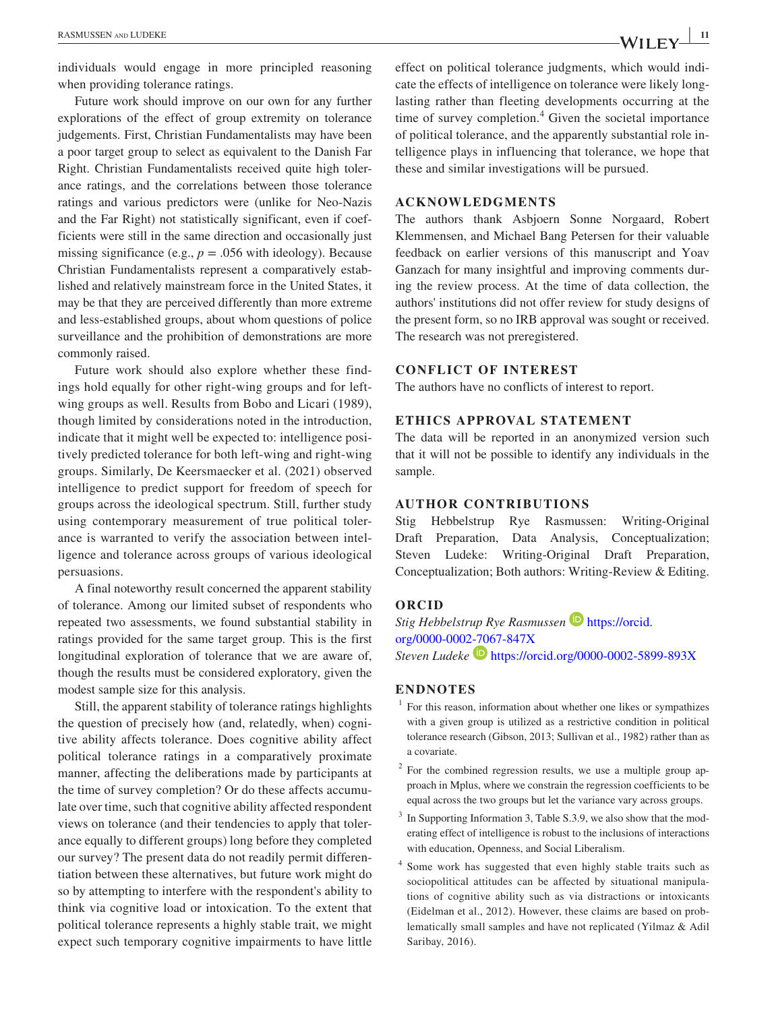individuals would engage in more principled reasoning when providing tolerance ratings.

Future work should improve on our own for any further explorations of the effect of group extremity on tolerance judgements. First, Christian Fundamentalists may have been a poor target group to select as equivalent to the Danish Far Right. Christian Fundamentalists received quite high tolerance ratings, and the correlations between those tolerance ratings and various predictors were (unlike for Neo-Nazis and the Far Right) not statistically significant, even if coefficients were still in the same direction and occasionally just missing significance (e.g.,  $p = .056$  with ideology). Because Christian Fundamentalists represent a comparatively established and relatively mainstream force in the United States, it may be that they are perceived differently than more extreme and less- established groups, about whom questions of police surveillance and the prohibition of demonstrations are more commonly raised.

Future work should also explore whether these findings hold equally for other right- wing groups and for leftwing groups as well. Results from Bobo and Licari (1989), though limited by considerations noted in the introduction, indicate that it might well be expected to: intelligence positively predicted tolerance for both left-wing and right-wing groups. Similarly, De Keersmaecker et al. (2021) observed intelligence to predict support for freedom of speech for groups across the ideological spectrum. Still, further study using contemporary measurement of true political tolerance is warranted to verify the association between intelligence and tolerance across groups of various ideological persuasions.

A final noteworthy result concerned the apparent stability of tolerance. Among our limited subset of respondents who repeated two assessments, we found substantial stability in ratings provided for the same target group. This is the first longitudinal exploration of tolerance that we are aware of, though the results must be considered exploratory, given the modest sample size for this analysis.

Still, the apparent stability of tolerance ratings highlights the question of precisely how (and, relatedly, when) cognitive ability affects tolerance. Does cognitive ability affect political tolerance ratings in a comparatively proximate manner, affecting the deliberations made by participants at the time of survey completion? Or do these affects accumulate over time, such that cognitive ability affected respondent views on tolerance (and their tendencies to apply that tolerance equally to different groups) long before they completed our survey? The present data do not readily permit differentiation between these alternatives, but future work might do so by attempting to interfere with the respondent's ability to think via cognitive load or intoxication. To the extent that political tolerance represents a highly stable trait, we might expect such temporary cognitive impairments to have little

effect on political tolerance judgments, which would indicate the effects of intelligence on tolerance were likely longlasting rather than fleeting developments occurring at the time of survey completion.<sup>4</sup> Given the societal importance of political tolerance, and the apparently substantial role intelligence plays in influencing that tolerance, we hope that these and similar investigations will be pursued.

#### **ACKNOWLEDGMENTS**

The authors thank Asbjoern Sonne Norgaard, Robert Klemmensen, and Michael Bang Petersen for their valuable feedback on earlier versions of this manuscript and Yoav Ganzach for many insightful and improving comments during the review process. At the time of data collection, the authors' institutions did not offer review for study designs of the present form, so no IRB approval was sought or received. The research was not preregistered.

#### **CONFLICT OF INTEREST**

The authors have no conflicts of interest to report.

#### **ETHICS APPROVAL STATEMENT**

The data will be reported in an anonymized version such that it will not be possible to identify any individuals in the sample.

#### **AUTHOR CONTRIBUTIONS**

Stig Hebbelstrup Rye Rasmussen: Writing-Original Draft Preparation, Data Analysis, Conceptualization; Steven Ludeke: Writing-Original Draft Preparation, Conceptualization; Both authors: Writing-Review & Editing.

#### **ORCID**

*Stig Hebbelstrup Rye Rasmussen* https://orcid. org/0000-0002-7067-847X *Steven Ludeke* https://orcid.org/0000-0002-5899-893X

## **ENDNOTES**

- <sup>1</sup> For this reason, information about whether one likes or sympathizes with a given group is utilized as a restrictive condition in political tolerance research (Gibson, 2013; Sullivan et al., 1982) rather than as a covariate.
- <sup>2</sup> For the combined regression results, we use a multiple group approach in Mplus, where we constrain the regression coefficients to be equal across the two groups but let the variance vary across groups.
- <sup>3</sup> In Supporting Information 3, Table S.3.9, we also show that the moderating effect of intelligence is robust to the inclusions of interactions with education, Openness, and Social Liberalism.
- 4 Some work has suggested that even highly stable traits such as sociopolitical attitudes can be affected by situational manipulations of cognitive ability such as via distractions or intoxicants (Eidelman et al., 2012). However, these claims are based on problematically small samples and have not replicated (Yilmaz & Adil Saribay, 2016).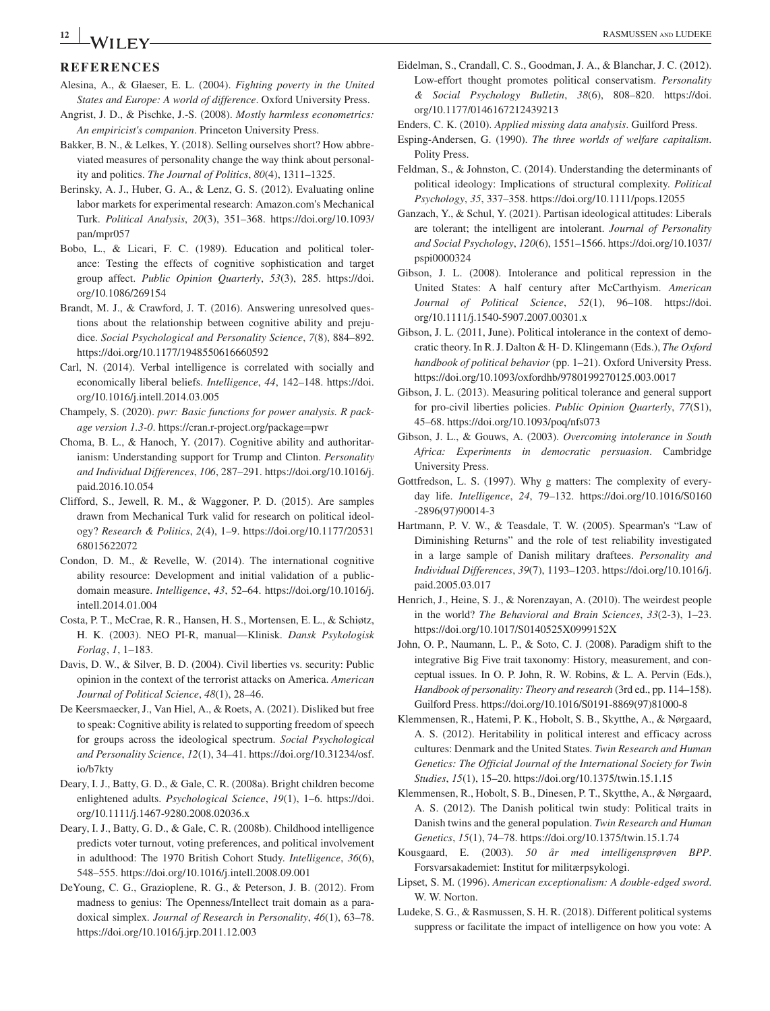# **<sup>12</sup><sup>|</sup>**

## **REFERENCES**

- Alesina, A., & Glaeser, E. L. (2004). *Fighting poverty in the United States and Europe: A world of difference*. Oxford University Press.
- Angrist, J. D., & Pischke, J.-S. (2008). *Mostly harmless econometrics: An empiricist's companion*. Princeton University Press.
- Bakker, B. N., & Lelkes, Y. (2018). Selling ourselves short? How abbreviated measures of personality change the way think about personality and politics. *The Journal of Politics*, *80*(4), 1311– 1325.
- Berinsky, A. J., Huber, G. A., & Lenz, G. S. (2012). Evaluating online labor markets for experimental research: Amazon.com's Mechanical Turk. *Political Analysis*, *20*(3), 351– 368. https://doi.org/10.1093/ pan/mpr057
- Bobo, L., & Licari, F. C. (1989). Education and political tolerance: Testing the effects of cognitive sophistication and target group affect. *Public Opinion Quarterly*, *53*(3), 285. https://doi. org/10.1086/269154
- Brandt, M. J., & Crawford, J. T. (2016). Answering unresolved questions about the relationship between cognitive ability and prejudice. *Social Psychological and Personality Science*, 7(8), 884–892. https://doi.org/10.1177/1948550616660592
- Carl, N. (2014). Verbal intelligence is correlated with socially and economically liberal beliefs. *Intelligence*, 44, 142-148. https://doi. org/10.1016/j.intell.2014.03.005
- Champely, S. (2020). *pwr: Basic functions for power analysis. R package version 1.3-0*. https://cran.r-project.org/package=pwr
- Choma, B. L., & Hanoch, Y. (2017). Cognitive ability and authoritarianism: Understanding support for Trump and Clinton. *Personality and Individual Differences*, *106*, 287– 291. https://doi.org/10.1016/j. paid.2016.10.054
- Clifford, S., Jewell, R. M., & Waggoner, P. D. (2015). Are samples drawn from Mechanical Turk valid for research on political ideology? *Research & Politics*, 2(4), 1-9. https://doi.org/10.1177/20531 68015 622072
- Condon, D. M., & Revelle, W. (2014). The international cognitive ability resource: Development and initial validation of a publicdomain measure. *Intelligence*, 43, 52-64. https://doi.org/10.1016/j. intell.2014.01.004
- Costa, P. T., McCrae, R. R., Hansen, H. S., Mortensen, E. L., & Schiøtz, H. K. (2003). NEO PI-R, manual-Klinisk. *Dansk Psykologisk Forlag*, *1*, 1– 183.
- Davis, D. W., & Silver, B. D. (2004). Civil liberties vs. security: Public opinion in the context of the terrorist attacks on America. *American Journal of Political Science*,  $48(1)$ , 28-46.
- De Keersmaecker, J., Van Hiel, A., & Roets, A. (2021). Disliked but free to speak: Cognitive ability is related to supporting freedom of speech for groups across the ideological spectrum. *Social Psychological*  and Personality Science, 12(1), 34-41. https://doi.org/10.31234/osf. io/b7kty
- Deary, I. J., Batty, G. D., & Gale, C. R. (2008a). Bright children become enlightened adults. *Psychological Science*, 19(1), 1–6. https://doi. org/10.1111/j.1467-9280.2008.02036.x
- Deary, I. J., Batty, G. D., & Gale, C. R. (2008b). Childhood intelligence predicts voter turnout, voting preferences, and political involvement in adulthood: The 1970 British Cohort Study. *Intelligence*, *36*(6), 548– 555. https://doi.org/10.1016/j.intell.2008.09.001
- DeYoung, C. G., Grazioplene, R. G., & Peterson, J. B. (2012). From madness to genius: The Openness/Intellect trait domain as a paradoxical simplex. *Journal of Research in Personality*,  $46(1)$ , 63-78. https://doi.org/10.1016/j.jrp.2011.12.003
- Eidelman, S., Crandall, C. S., Goodman, J. A., & Blanchar, J. C. (2012). Low- effort thought promotes political conservatism. *Personality & Social Psychology Bulletin*, *38*(6), 808– 820. https://doi. org/10.1177/0146167212439213
- Enders, C. K. (2010). *Applied missing data analysis*. Guilford Press.
- Esping- Andersen, G. (1990). *The three worlds of welfare capitalism*. Polity Press.
- Feldman, S., & Johnston, C. (2014). Understanding the determinants of political ideology: Implications of structural complexity. *Political Psychology*, *35*, 337– 358. https://doi.org/10.1111/pops.12055
- Ganzach, Y., & Schul, Y. (2021). Partisan ideological attitudes: Liberals are tolerant; the intelligent are intolerant. *Journal of Personality and Social Psychology*, *120*(6), 1551– 1566. https://doi.org/10.1037/ pspi0000324
- Gibson, J. L. (2008). Intolerance and political repression in the United States: A half century after McCarthyism. *American*  Journal of Political Science, 52(1), 96-108. https://doi. org/10.1111/j.1540-5907.2007.00301.x
- Gibson, J. L. (2011, June). Political intolerance in the context of democratic theory. In R. J. Dalton & H- D. Klingemann (Eds.), *The Oxford handbook of political behavior* (pp. 1–21). Oxford University Press. https://doi.org/10.1093/oxfordhb/9780199270125.003.0017
- Gibson, J. L. (2013). Measuring political tolerance and general support for pro- civil liberties policies. *Public Opinion Quarterly*, *77*(S1), 45– 68. https://doi.org/10.1093/poq/nfs073
- Gibson, J. L., & Gouws, A. (2003). *Overcoming intolerance in South Africa: Experiments in democratic persuasion*. Cambridge University Press.
- Gottfredson, L. S. (1997). Why g matters: The complexity of everyday life. *Intelligence*, 24, 79-132. https://doi.org/10.1016/S0160 - 2896(97)90014 - 3
- Hartmann, P. V. W., & Teasdale, T. W. (2005). Spearman's "Law of Diminishing Returns" and the role of test reliability investigated in a large sample of Danish military draftees. *Personality and Individual Differences*, *39*(7), 1193– 1203. https://doi.org/10.1016/j. paid.2005.03.017
- Henrich, J., Heine, S. J., & Norenzayan, A. (2010). The weirdest people in the world? *The Behavioral and Brain Sciences*,  $33(2-3)$ , 1-23. https://doi.org/10.1017/S0140525X0999152X
- John, O. P., Naumann, L. P., & Soto, C. J. (2008). Paradigm shift to the integrative Big Five trait taxonomy: History, measurement, and conceptual issues. In O. P. John, R. W. Robins, & L. A. Pervin (Eds.), *Handbook of personality: Theory and research* (3rd ed., pp. 114–158). Guilford Press. https://doi.org/10.1016/S0191-8869(97)81000-8
- Klemmensen, R., Hatemi, P. K., Hobolt, S. B., Skytthe, A., & Nørgaard, A. S. (2012). Heritability in political interest and efficacy across cultures: Denmark and the United States. *Twin Research and Human Genetics: The Official Journal of the International Society for Twin Studies*, *15*(1), 15–20. https://doi.org/10.1375/twin.15.1.15
- Klemmensen, R., Hobolt, S. B., Dinesen, P. T., Skytthe, A., & Nørgaard, A. S. (2012). The Danish political twin study: Political traits in Danish twins and the general population. *Twin Research and Human Genetics*, *15*(1), 74– 78. https://doi.org/10.1375/twin.15.1.74
- Kousgaard, E. (2003). *50 år med intelligensprøven BPP*. Forsvarsakademiet: Institut for militærpsykologi.
- Lipset, S. M. (1996). *American exceptionalism: A double- edged sword*. W. W. Norton.
- Ludeke, S. G., & Rasmussen, S. H. R. (2018). Different political systems suppress or facilitate the impact of intelligence on how you vote: A